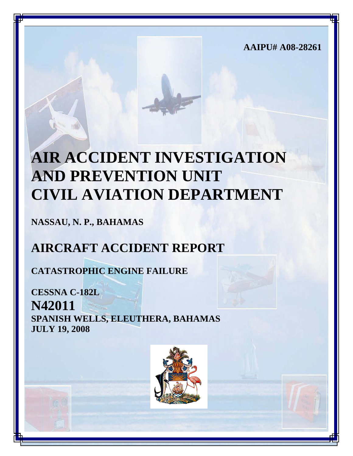**AAIPU# A08-28261**

# **AIR ACCIDENT INVESTIGATION AND PREVENTION UNIT CIVIL AVIATION DEPARTMENT**

**NASSAU, N. P., BAHAMAS**

## **AIRCRAFT ACCIDENT REPORT**

**CATASTROPHIC ENGINE FAILURE**

**CESSNA C-182L N42011 SPANISH WELLS, ELEUTHERA, BAHAMAS JULY 19, 2008**

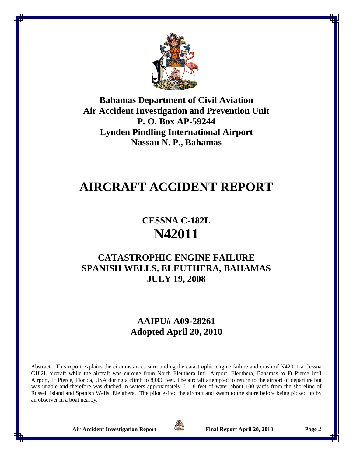

**Bahamas Department of Civil Aviation Air Accident Investigation and Prevention Unit P. O. Box AP-59244 Lynden Pindling International Airport Nassau N. P., Bahamas**

## **AIRCRAFT ACCIDENT REPORT**

## **CESSNA C-182L N42011**

## **CATASTROPHIC ENGINE FAILURE SPANISH WELLS, ELEUTHERA, BAHAMAS JULY 19, 2008**

## **AAIPU# A09-28261 Adopted April 20, 2010**

Abstract: This report explains the circumstances surrounding the catastrophic engine failure and crash of N42011 a Cessna C182L aircraft while the aircraft was enroute from North Eleuthera Int'l Airport, Eleuthera, Bahamas to Ft Pierce Int'l Airport, Ft Pierce, Florida, USA during a climb to 8,000 feet. The aircraft attempted to return to the airport of departure but was unable and therefore was ditched in waters approximately  $6 - 8$  feet of water about 100 yards from the shoreline of Russell Island and Spanish Wells, Eleuthera. The pilot exited the aircraft and swam to the shore before being picked up by an observer in a boat nearby.

**Air Accident Investigation Report Final Report April 20, 2010 Page** 2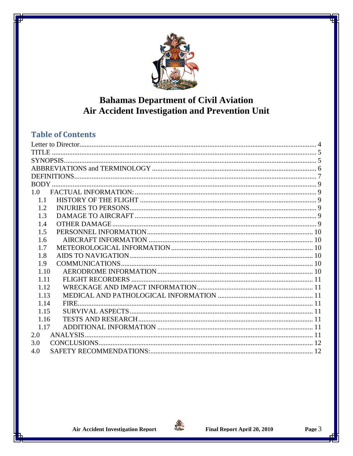

## **Bahamas Department of Civil Aviation** Air Accident Investigation and Prevention Unit

### **Table of Contents**

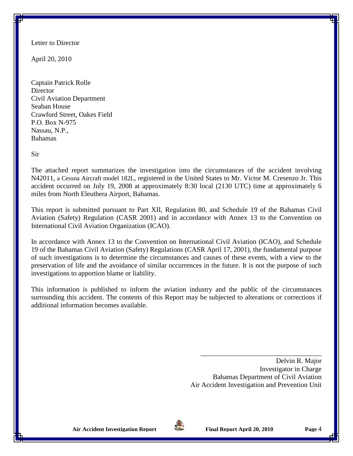<span id="page-3-0"></span>Letter to Director

April 20, 2010

Captain Patrick Rolle **Director** Civil Aviation Department Seaban House Crawford Street, Oakes Field P.O. Box N-975 Nassau, N.P., Bahamas

Sir

The attached report summarizes the investigation into the circumstances of the accident involving N42011, a Cessna Aircraft model 182L, registered in the United States to Mr. Victor M. Cresenzo Jr. This accident occurred on July 19, 2008 at approximately 8:30 local (2130 UTC) time at approximately 6 miles from North Eleuthera Airport, Bahamas.

This report is submitted pursuant to Part XII, Regulation 80, and Schedule 19 of the Bahamas Civil Aviation (Safety) Regulation (CASR 2001) and in accordance with Annex 13 to the Convention on International Civil Aviation Organization (ICAO).

In accordance with Annex 13 to the Convention on International Civil Aviation (ICAO), and Schedule 19 of the Bahamas Civil Aviation (Safety) Regulations (CASR April 17, 2001), the fundamental purpose of such investigations is to determine the circumstances and causes of these events, with a view to the preservation of life and the avoidance of similar occurrences in the future. It is not the purpose of such investigations to apportion blame or liability.

This information is published to inform the aviation industry and the public of the circumstances surrounding this accident. The contents of this Report may be subjected to alterations or corrections if additional information becomes available.

> Delvin R. Major Investigator in Charge Bahamas Department of Civil Aviation Air Accident Investigation and Prevention Unit

\_\_\_\_\_\_\_\_\_\_\_\_\_\_\_\_\_\_\_\_\_\_\_\_\_\_\_\_\_\_\_\_\_\_\_

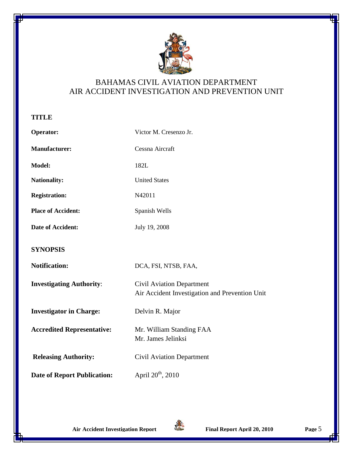

### BAHAMAS CIVIL AVIATION DEPARTMENT AIR ACCIDENT INVESTIGATION AND PREVENTION UNIT

<span id="page-4-0"></span>**TITLE**

<span id="page-4-1"></span>

| <b>Operator:</b>                   | Victor M. Cresenzo Jr.                                                             |
|------------------------------------|------------------------------------------------------------------------------------|
| <b>Manufacturer:</b>               | Cessna Aircraft                                                                    |
| <b>Model:</b>                      | 182L                                                                               |
| <b>Nationality:</b>                | <b>United States</b>                                                               |
| <b>Registration:</b>               | N42011                                                                             |
| <b>Place of Accident:</b>          | Spanish Wells                                                                      |
| Date of Accident:                  | July 19, 2008                                                                      |
| <b>SYNOPSIS</b>                    |                                                                                    |
| <b>Notification:</b>               | DCA, FSI, NTSB, FAA,                                                               |
| <b>Investigating Authority:</b>    | <b>Civil Aviation Department</b><br>Air Accident Investigation and Prevention Unit |
| <b>Investigator in Charge:</b>     | Delvin R. Major                                                                    |
| <b>Accredited Representative:</b>  | Mr. William Standing FAA<br>Mr. James Jelinksi                                     |
| <b>Releasing Authority:</b>        | <b>Civil Aviation Department</b>                                                   |
| <b>Date of Report Publication:</b> | April $20^{th}$ , $2010$                                                           |

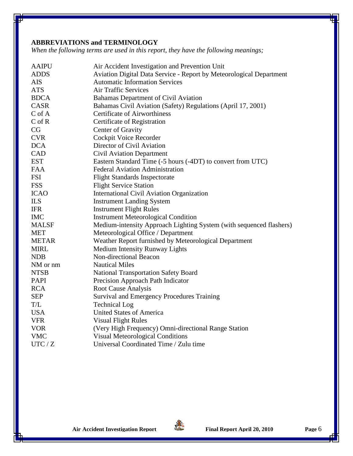### <span id="page-5-0"></span>**ABBREVIATIONS and TERMINOLOGY**

*When the following terms are used in this report, they have the following meanings;*

| <b>AAIPU</b> | Air Accident Investigation and Prevention Unit                      |
|--------------|---------------------------------------------------------------------|
| <b>ADDS</b>  | Aviation Digital Data Service - Report by Meteorological Department |
| <b>AIS</b>   | <b>Automatic Information Services</b>                               |
| <b>ATS</b>   | <b>Air Traffic Services</b>                                         |
| <b>BDCA</b>  | Bahamas Department of Civil Aviation                                |
| <b>CASR</b>  | Bahamas Civil Aviation (Safety) Regulations (April 17, 2001)        |
| $C$ of $A$   | <b>Certificate of Airworthiness</b>                                 |
| $C$ of $R$   | Certificate of Registration                                         |
| CG           | Center of Gravity                                                   |
| <b>CVR</b>   | Cockpit Voice Recorder                                              |
| <b>DCA</b>   | Director of Civil Aviation                                          |
| CAD          | <b>Civil Aviation Department</b>                                    |
| <b>EST</b>   | Eastern Standard Time (-5 hours (-4DT) to convert from UTC)         |
| <b>FAA</b>   | <b>Federal Aviation Administration</b>                              |
| <b>FSI</b>   | <b>Flight Standards Inspectorate</b>                                |
| <b>FSS</b>   | <b>Flight Service Station</b>                                       |
| <b>ICAO</b>  | <b>International Civil Aviation Organization</b>                    |
| <b>ILS</b>   | <b>Instrument Landing System</b>                                    |
| <b>IFR</b>   | <b>Instrument Flight Rules</b>                                      |
| <b>IMC</b>   | <b>Instrument Meteorological Condition</b>                          |
| <b>MALSF</b> | Medium-intensity Approach Lighting System (with sequenced flashers) |
| <b>MET</b>   | Meteorological Office / Department                                  |
| <b>METAR</b> | Weather Report furnished by Meteorological Department               |
| <b>MIRL</b>  | Medium Intensity Runway Lights                                      |
| <b>NDB</b>   | Non-directional Beacon                                              |
| NM or nm     | <b>Nautical Miles</b>                                               |
| <b>NTSB</b>  | <b>National Transportation Safety Board</b>                         |
| <b>PAPI</b>  | Precision Approach Path Indicator                                   |
| <b>RCA</b>   | <b>Root Cause Analysis</b>                                          |
| <b>SEP</b>   | Survival and Emergency Procedures Training                          |
| T/L          | <b>Technical Log</b>                                                |
| <b>USA</b>   | <b>United States of America</b>                                     |
| <b>VFR</b>   | <b>Visual Flight Rules</b>                                          |
| <b>VOR</b>   | (Very High Frequency) Omni-directional Range Station                |
| <b>VMC</b>   | <b>Visual Meteorological Conditions</b>                             |
| UTC/Z        | Universal Coordinated Time / Zulu time                              |

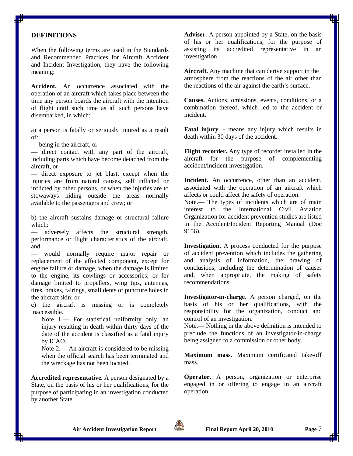#### <span id="page-6-0"></span>**DEFINITIONS**

When the following terms are used in the Standards and Recommended Practices for Aircraft Accident and Incident Investigation, they have the following meaning:

**Accident.** An occurrence associated with the operation of an aircraft which takes place between the time any person boards the aircraft with the intention of flight until such time as all such persons have disembarked, in which:

a) a person is fatally or seriously injured as a result of:

— being in the aircraft, or

— direct contact with any part of the aircraft, including parts which have become detached from the aircraft, or

— direct exposure to jet blast, except when the injuries are from natural causes, self inflicted or inflicted by other persons, or when the injuries are to stowaways hiding outside the areas normally available to the passengers and crew; or

b) the aircraft sustains damage or structural failure which:

— adversely affects the structural strength, performance or flight characteristics of the aircraft, and

— would normally require major repair or replacement of the affected component, except for engine failure or damage, when the damage is limited to the engine, its cowlings or accessories; or for damage limited to propellers, wing tips, antennas, tires, brakes, fairings, small dents or puncture holes in the aircraft skin; or

c) the aircraft is missing or is completely inaccessible.

Note 1.— For statistical uniformity only, an injury resulting in death within thirty days of the date of the accident is classified as a fatal injury by ICAO.

Note 2.— An aircraft is considered to be missing when the official search has been terminated and the wreckage has not been located.

**Accredited representative.** A person designated by a State, on the basis of his or her qualifications, for the purpose of participating in an investigation conducted by another State.

**Adviser**. A person appointed by a State, on the basis of his or her qualifications, for the purpose of assisting its accredited representative in an investigation.

**Aircraft.** Any machine that can derive support in the atmosphere from the reactions of the air other than the reactions of the air against the earth's surface.

**Causes.** Actions, omissions, events, conditions, or a combination thereof, which led to the accident or incident.

**Fatal injury**. - means any injury which results in death within 30 days of the accident.

**Flight recorder.** Any type of recorder installed in the aircraft for the purpose of complementing accident/incident investigation.

Incident. An occurrence, other than an accident, associated with the operation of an aircraft which affects or could affect the safety of operation.

Note.— The types of incidents which are of main interest to the International Civil Aviation Organization for accident prevention studies are listed in the Accident/Incident Reporting Manual (Doc 9156).

**Investigation.** A process conducted for the purpose of accident prevention which includes the gathering and analysis of information, the drawing of conclusions, including the determination of causes and, when appropriate, the making of safety recommendations.

**Investigator-in-charge.** A person charged, on the basis of his or her qualifications, with the responsibility for the organization, conduct and control of an investigation.

Note.— Nothing in the above definition is intended to preclude the functions of an investigator-in-charge being assigned to a commission or other body.

**Maximum mass.** Maximum certificated take-off mass.

**Operator.** A person, organization or enterprise engaged in or offering to engage in an aircraft operation.

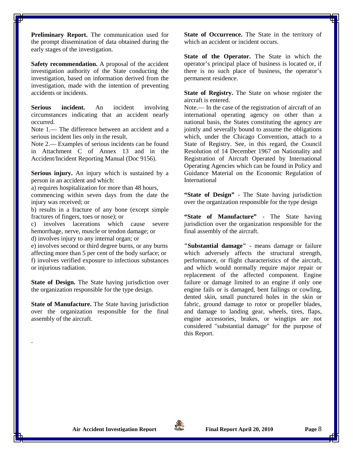**Preliminary Report.** The communication used for the prompt dissemination of data obtained during the early stages of the investigation.

**Safety recommendation.** A proposal of the accident investigation authority of the State conducting the investigation, based on information derived from the investigation, made with the intention of preventing accidents or incidents.

**Serious incident.** An incident involving circumstances indicating that an accident nearly occurred.

Note 1.— The difference between an accident and a serious incident lies only in the result.

Note 2.— Examples of serious incidents can be found in Attachment C of Annex 13 and in the Accident/Incident Reporting Manual (Doc 9156).

**Serious injury.** An injury which is sustained by a person in an accident and which:

a) requires hospitalization for more than 48 hours,

commencing within seven days from the date the injury was received; or

b) results in a fracture of any bone (except simple fractures of fingers, toes or nose); or

c) involves lacerations which cause severe hemorrhage, nerve, muscle or tendon damage; or d) involves injury to any internal organ; or

e) involves second or third degree burns, or any burns affecting more than 5 per cent of the body surface; or f) involves verified exposure to infectious substances or injurious radiation.

**State of Design.** The State having jurisdiction over the organization responsible for the type design.

**State of Manufacture.** The State having jurisdiction over the organization responsible for the final assembly of the aircraft.

.

**State of Occurrence.** The State in the territory of which an accident or incident occurs.

**State of the Operator.** The State in which the operator's principal place of business is located or, if there is no such place of business, the operator's permanent residence.

**State of Registry.** The State on whose register the aircraft is entered.

Note.— In the case of the registration of aircraft of an international operating agency on other than a national basis, the States constituting the agency are jointly and severally bound to assume the obligations which, under the Chicago Convention, attach to a State of Registry. See, in this regard, the Council Resolution of 14 December 1967 on Nationality and Registration of Aircraft Operated by International Operating Agencies which can be found in Policy and Guidance Material on the Economic Regulation of **International** 

**"State of Design"** - The State having jurisdiction over the organization responsible for the type design

**"State of Manufacture"** - The State having jurisdiction over the organization responsible for the final assembly of the aircraft.

**"Substantial damage"** - means damage or failure which adversely affects the structural strength, performance, or flight characteristics of the aircraft, and which would normally require major repair or replacement of the affected component. Engine failure or damage limited to an engine if only one engine fails or is damaged, bent failings or cowling, dented skin, small punctured holes in the skin or fabric, ground damage to rotor or propeller blades, and damage to landing gear, wheels, tires, flaps, engine accessories, brakes, or wingtips are not considered "substantial damage" for the purpose of this Report.

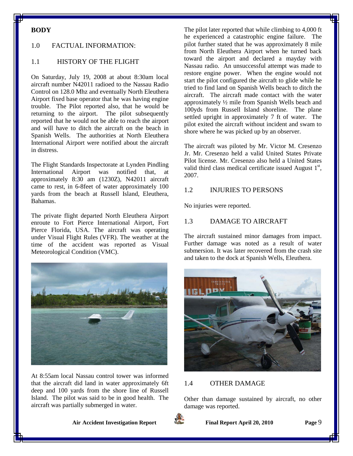#### <span id="page-8-0"></span>**BODY**

#### <span id="page-8-1"></span>1.0 FACTUAL INFORMATION:

#### <span id="page-8-2"></span>1.1 HISTORY OF THE FLIGHT

On Saturday, July 19, 2008 at about 8:30am local aircraft number N42011 radioed to the Nassau Radio Control on 128.0 Mhz and eventually North Eleuthera Airport fixed base operator that he was having engine trouble. The Pilot reported also, that he would be returning to the airport. The pilot subsequently reported that he would not be able to reach the airport and will have to ditch the aircraft on the beach in Spanish Wells. The authorities at North Eleuthera International Airport were notified about the aircraft in distress.

The Flight Standards Inspectorate at Lynden Pindling International Airport was notified that, at approximately 8:30 am (1230Z), N42011 aircraft came to rest, in 6-8feet of water approximately 100 yards from the beach at Russell Island, Eleuthera, Bahamas.

The private flight departed North Eleuthera Airport enroute to Fort Pierce International Airport, Fort Pierce Florida, USA. The aircraft was operating under Visual Flight Rules (VFR). The weather at the time of the accident was reported as Visual Meteorological Condition (VMC).



At 8:55am local Nassau control tower was informed that the aircraft did land in water approximately 6ft deep and 100 yards from the shore line of Russell Island. The pilot was said to be in good health. The aircraft was partially submerged in water.

The pilot later reported that while climbing to 4,000 ft he experienced a catastrophic engine failure. The pilot further stated that he was approximately 8 mile from North Eleuthera Airport when he turned back toward the airport and declared a mayday with Nassau radio. An unsuccessful attempt was made to restore engine power. When the engine would not start the pilot configured the aircraft to glide while he tried to find land on Spanish Wells beach to ditch the aircraft. The aircraft made contact with the water approximately ½ mile from Spanish Wells beach and 100yds from Russell Island shoreline. The plane settled upright in approximately 7 ft of water. The pilot exited the aircraft without incident and swam to shore where he was picked up by an observer.

The aircraft was piloted by Mr. Victor M. Cresenzo Jr. Mr. Cresenzo held a valid United States Private Pilot license. Mr. Cresenzo also held a United States valid third class medical certificate issued August  $1<sup>st</sup>$ , 2007.

#### <span id="page-8-3"></span>1.2 INJURIES TO PERSONS

No injuries were reported.

#### <span id="page-8-4"></span>1.3 DAMAGE TO AIRCRAFT

The aircraft sustained minor damages from impact. Further damage was noted as a result of water submersion. It was later recovered from the crash site and taken to the dock at Spanish Wells, Eleuthera.



#### <span id="page-8-5"></span>1.4 OTHER DAMAGE

Other than damage sustained by aircraft, no other damage was reported.

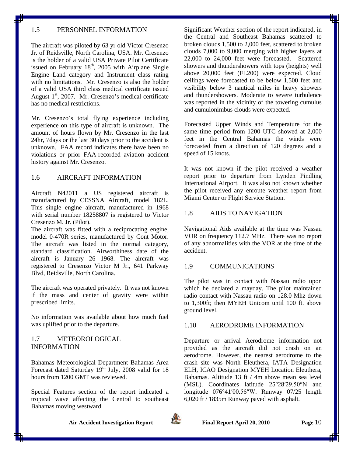#### <span id="page-9-0"></span>1.5 PERSONNEL INFORMATION

The aircraft was piloted by 63 yr old Victor Cresenzo Jr. of Reidsville, North Carolina, USA. Mr. Cresenzo is the holder of a valid USA Private Pilot Certificate issued on February  $18<sup>th</sup>$ , 2005 with Airplane Single Engine Land category and Instrument class rating with no limitations. Mr. Cresenzo is also the holder of a valid USA third class medical certificate issued August  $1<sup>st</sup>$ , 2007. Mr. Cresenzo's medical certificate has no medical restrictions.

Mr. Cresenzo's total flying experience including experience on this type of aircraft is unknown. The amount of hours flown by Mr. Cresenzo in the last 24hr, 7days or the last 30 days prior to the accident is unknown. FAA record indicates there have been no violations or prior FAA-recorded aviation accident history against Mr. Cresenzo.

#### <span id="page-9-1"></span>1.6 AIRCRAFT INFORMATION

Aircraft N42011 a US registered aircraft is manufactured by CESSNA Aircraft, model 182L. This single engine aircraft, manufactured in 1968 with serial number 18258807 is registered to Victor Cresenzo M. Jr. (Pilot).

The aircraft was fitted with a reciprocating engine, model 0-470R series, manufactured by Cont Motor. The aircraft was listed in the normal category, standard classification. Airworthiness date of the aircraft is January 26 1968. The aircraft was registered to Cresenzo Victor M Jr., 641 Parkway Blvd, Reidsville, North Carolina.

The aircraft was operated privately. It was not known if the mass and center of gravity were within prescribed limits.

No information was available about how much fuel was uplifted prior to the departure.

#### <span id="page-9-2"></span>1.7 METEOROLOGICAL INFORMATION

Bahamas Meteorological Department Bahamas Area Forecast dated Saturday  $19^{th}$  July, 2008 valid for 18 hours from 1200 GMT was reviewed.

Special Features section of the report indicated a tropical wave affecting the Central to southeast Bahamas moving westward.

Significant Weather section of the report indicated, in the Central and Southeast Bahamas scattered to broken clouds 1,500 to 2,000 feet, scattered to broken clouds 7,000 to 9,000 merging with higher layers at 22,000 to 24,000 feet were forecasted. Scattered showers and thundershowers with tops (heights) well above 20,000 feet (FL200) were expected. Cloud ceilings were forecasted to be below 1,500 feet and visibility below 3 nautical miles in heavy showers and thundershowers. Moderate to severe turbulence was reported in the vicinity of the towering cumulus and cumulonimbus clouds were expected.

Forecasted Upper Winds and Temperature for the same time period from 1200 UTC showed at 2,000 feet in the Central Bahamas the winds were forecasted from a direction of 120 degrees and a speed of 15 knots.

It was not known if the pilot received a weather report prior to departure from Lynden Pindling International Airport. It was also not known whether the pilot received any enroute weather report from Miami Center or Flight Service Station.

#### <span id="page-9-3"></span>1.8 AIDS TO NAVIGATION

Navigational Aids available at the time was Nassau VOR on frequency 112.7 MHz. There was no report of any abnormalities with the VOR at the time of the accident.

#### <span id="page-9-4"></span>1.9 COMMUNICATIONS

The pilot was in contact with Nassau radio upon which he declared a mayday. The pilot maintained radio contact with Nassau radio on 128.0 Mhz down to 1,300ft; then MYEH Unicom until 100 ft. above ground level.

#### <span id="page-9-5"></span>1.10 AERODROME INFORMATION

Departure or arrival Aerodrome information not provided as the aircraft did not crash on an aerodrome. However, the nearest aerodrome to the crash site was North Eleuthera, IATA Designation ELH, ICAO Designation MYEH Location Eleuthera, Bahamas. Altitude 13 ft / 4m above mean sea level (MSL). Coordinates latitude 25°28′29.50″N and longitude 076°41′00.56″W. Runway 07/25 length 6,020 ft / 1835m Runway paved with asphalt.

**Air Accident Investigation Report Final Report April 20, 2010 Page** 10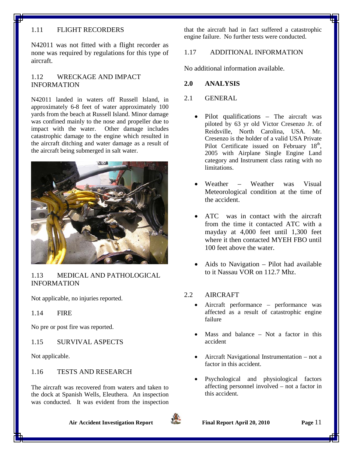#### <span id="page-10-0"></span>1.11 FLIGHT RECORDERS

N42011 was not fitted with a flight recorder as none was required by regulations for this type of aircraft.

#### <span id="page-10-1"></span>1.12 WRECKAGE AND IMPACT INFORMATION

N42011 landed in waters off Russell Island, in approximately 6-8 feet of water approximately 100 yards from the beach at Russell Island. Minor damage was confined mainly to the nose and propeller due to impact with the water. Other damage includes catastrophic damage to the engine which resulted in the aircraft ditching and water damage as a result of the aircraft being submerged in salt water.



#### <span id="page-10-2"></span>1.13 MEDICAL AND PATHOLOGICAL INFORMATION

Not applicable, no injuries reported.

#### <span id="page-10-3"></span>1.14 FIRE

No pre or post fire was reported.

<span id="page-10-4"></span>1.15 SURVIVAL ASPECTS

Not applicable.

#### <span id="page-10-5"></span>1.16 TESTS AND RESEARCH

The aircraft was recovered from waters and taken to the dock at Spanish Wells, Eleuthera. An inspection was conducted. It was evident from the inspection

that the aircraft had in fact suffered a catastrophic engine failure. No further tests were conducted.

#### <span id="page-10-6"></span>1.17 ADDITIONAL INFORMATION

No additional information available.

#### <span id="page-10-7"></span>**2.0 ANALYSIS**

#### 2.1 GENERAL

- Pilot qualifications The aircraft was piloted by 63 yr old Victor Cresenzo Jr. of Reidsville, North Carolina, USA. Mr. Cresenzo is the holder of a valid USA Private Pilot Certificate issued on February  $18<sup>th</sup>$ , 2005 with Airplane Single Engine Land category and Instrument class rating with no limitations.
- Weather Weather was Visual Meteorological condition at the time of the accident.
- ATC was in contact with the aircraft from the time it contacted ATC with a mayday at 4,000 feet until 1,300 feet where it then contacted MYEH FBO until 100 feet above the water.
- Aids to Navigation  $-$  Pilot had available to it Nassau VOR on 112.7 Mhz.

#### 2.2 AIRCRAFT

- Aircraft performance performance was affected as a result of catastrophic engine failure
- Mass and balance Not a factor in this accident
- Aircraft Navigational Instrumentation not a factor in this accident.
- Psychological and physiological factors affecting personnel involved – not a factor in this accident.

**Air Accident Investigation Report Final Report April 20, 2010 Page** 11